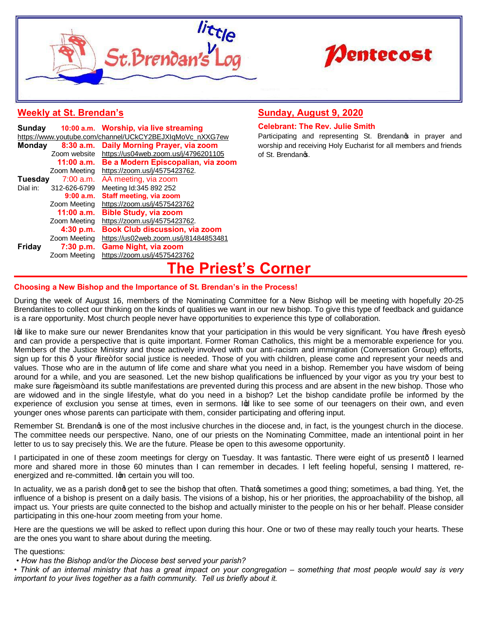



## **Weekly at St. Brendan's**

| Sunday                                                   |              | 10:00 a.m. Worship, via live streaming |  |
|----------------------------------------------------------|--------------|----------------------------------------|--|
| https://www.youtube.com/channel/UCkCY2BEJXIqMoVc_nXXG7ew |              |                                        |  |
| <b>Monday</b>                                            | 8:30 a.m.    | Daily Morning Prayer, via zoom         |  |
|                                                          | Zoom website | https://us04web.zoom.us/j/4796201105   |  |
|                                                          | 11:00 a.m.   | Be a Modern Episcopalian, via zoom     |  |
|                                                          | Zoom Meeting | https://zoom.us/j/4575423762.          |  |
| Tuesday                                                  | $7:00$ a.m.  | AA meeting, via zoom                   |  |
| Dial in:                                                 | 312-626-6799 | Meeting Id:345 892 252                 |  |
|                                                          | 9:00a.m.     | <b>Staff meeting, via zoom</b>         |  |
|                                                          | Zoom Meeting | https://zoom.us/j/4575423762           |  |
|                                                          | $11:00$ a.m. | <b>Bible Study, via zoom</b>           |  |
|                                                          | Zoom Meeting | https://zoom.us/j/4575423762.          |  |
|                                                          | 4:30 p.m.    | <b>Book Club discussion, via zoom</b>  |  |
|                                                          | Zoom Meeting | https://us02web.zoom.us/j/81484853481  |  |
| <b>Friday</b>                                            | 7:30 p.m.    | <b>Game Night, via zoom</b>            |  |
|                                                          | Zoom Meeting | https://zoom.us/j/4575423762           |  |
|                                                          |              |                                        |  |

## **Sunday, August 9, 2020**

## **Celebrant: The Rev. Julie Smith**

Participating and representing St. Brendanos in prayer and worship and receiving Holy Eucharist for all members and friends of St. Brendanos.

# **[The Pries](https://www.youtube.com/channel/UCkCY2BEJXIqMoVc_nXXG7ew)t's Corner**

## **Choosing a New Bisho[p and the Importance of St. Brend](https://us04web.zoom.us/j/4796201105)an's in the Process!**

During the week of August 16, members of the Nominating Committee for a New Bishop will be meeting with hopefully 20-25 Brendanites to collect ou[r thinking on the kinds of qu](https://zoom.us/j/4575423762)alities we want in our new bishop. To give this type of feedback and guidance is a rare opportunity. Most church people never have opportunities to experience this type of collaboration.

Ing like to make sure our newer Brendanites know that your participation in this would be very significant. You have % fresh eyes+ and can provide a persp[ective that is quite importan](https://zoom.us/j/4575423762)t. Former Roman Catholics, this might be a memorable experience for you. Members of the Justice Ministry and those actively involved with our anti-racism and immigration (Conversation Group) efforts, sign up for this  $\cdot$  your % ire+ [for social justice is need](https://zoom.us/j/4575423762)ed. Those of you with children, please come and represent your needs and values. Those who are in the autumn of life come and share what you need in a bishop. Remember you have wisdom of being around for a while, and [you are seasoned. Let the new bisho](https://us02web.zoom.us/j/81484853481)p qualifications be influenced by your vigor as you try your best to make sure % ageism+ and its subtle manifestations are prevented during this process and are absent in the new bishop. Those who are widowed and in the [single lifestyle, what do y](https://zoom.us/j/4575423762)ou need in a bishop? Let the bishop candidate profile be informed by the experience of exclusion you sense at times, even in sermons. Ind like to see some of our teenagers on their own, and even younger ones whose parents can participate with them, consider participating and offering input.

Remember St. Brendangs is one of the most inclusive churches in the diocese and, in fact, is the youngest church in the diocese. The committee needs our perspective. Nano, one of our priests on the Nominating Committee, made an intentional point in her letter to us to say precisely this. We are the future. Please be open to this awesome opportunity.

I participated in one of these zoom meetings for clergy on Tuesday. It was fantastic. There were eight of us present- I learned more and shared more in those 60 minutes than I can remember in decades. I left feeling hopeful, sensing I mattered, reenergized and re-committed. Ign certain you will too.

In actuality, we as a parish dong get to see the bishop that often. Thatos sometimes a good thing; sometimes, a bad thing. Yet, the influence of a bishop is present on a daily basis. The visions of a bishop, his or her priorities, the approachability of the bishop, all impact us. Your priests are quite connected to the bishop and actually minister to the people on his or her behalf. Please consider participating in this one-hour zoom meeting from your home.

Here are the questions we will be asked to reflect upon during this hour. One or two of these may really touch your hearts. These are the ones you want to share about during the meeting.

The questions:

*• How has the Bishop and/or the Diocese best served your parish?*

• Think of an internal ministry that has a great impact on your congregation – something that most people would say is very *important to your lives together as a faith community. Tell us briefly about it.*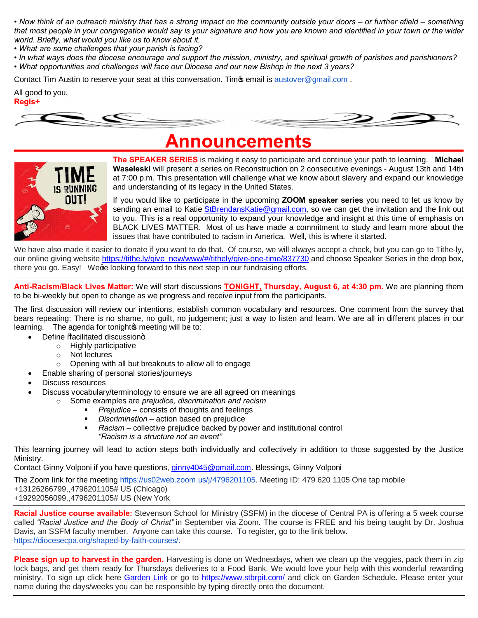• Now think of an outreach ministry that has a strong impact on the community outside your doors – or further afield – something *that most people in your congregation would say is your signature and how you are known and identified in your town or the wider world. Briefly, what would you like us to know about it.*

*• What are some challenges that your parish is facing?*

*• In what ways does the diocese encourage and support the mission, ministry, and spiritual growth of parishes and parishioners?*  • What opportunities and challenges will face our Diocese and our new Bishop in the next 3 years?

Contact Tim Austin to reserve your seat at this conversation. Time email is austover@gmail.com.

All good to you, **Regis+**



# **Announcements**



**The SPEAKER SERIES** is making it easy to participate and continue your path to learning. **Michael Waseleski** will present a series on Reconstruction on 2 consecutive evenings - August 13th and 14th at 7:00 p.m. This presentation will challenge what we know about slavery and expand our knowledge and understanding of its legacy in the United States.

If you would like to participate in the upcoming **ZOOM speaker series** you need to let us know by sending an email to Katie StBrendansKatie@gmail.com, so we can get the invitation and the link out to you. This is a real opportunity to expand y[our knowledge and in](mailto:austover@gmail.com)sight at this time of emphasis on BLACK LIVES MATTER. Most of us have made a commitment to study and learn more about the issues that have contributed to racism in America. Well, this is where it started.

We have also made it easier to donate if you want to do that. Of course, we will always accept a check, but you can go to Tithe-ly, our online giving website https://tithe.ly/give\_new/www/#/tithely/give-one-time/837730 and choose Speaker Series in the drop box, there you go. Easy! Wege looking forward to this next step in our fundraising efforts.

**Anti-Racism/Black Lives Matter:** We will start discussions **TONIGHT, Thursday, August 6, at 4:30 pm.** We are planning them to be bi-weekly but open to change as we progress and receive input from the participants.

The first discussion will review our intentions, establish common vocabulary and resources. One comment from the survey that bears repeating: There is no shame, no guilt, no judgement; just a way to listen and learn. We are all in different places in our learning. The agenda for tonight is meeting will be to:

- Define %acilitated discussion+
	- o Highly participative
		- o Not lectures
		- o Opening with all but breakouts to allow all to engage
	- · Enable sharing of personal stories/journeys
- Discuss resources
- Discuss vocabulary/terminology to ensure we are all agreed on meanings
	- Some examples are *[prejudice, discrimination and racism](https://tithe.ly/give_new/www/)* 
		- **Prejudice** consists of thoughts and feelings
		- **•** *Discrimination* action based on prejudice
		- **•** Racism collective prejudice backed by power and institutional control *"Racism is a structure not an event"*

This learning journey will lead to action steps both individually and collectively in addition to those suggested by the Justice Ministry.

Contact Ginny Volponi if you have questions, ginny4045@gmail.com. Blessings, Ginny Volponi

The Zoom link for the meeting https://us02web.zoom.us/j/4796201105. Meeting ID: 479 620 1105 One tap mobile

- +13126266799,,4796201105# US (Chicago)
- +19292056099,,4796201105# US (New York

**Racial Justice course available:** Stevenson School for Ministry (SSFM) in the diocese of Central PA is offering a 5 week course called *"Racial Justice and the Body of Christ"* in September via Zoom. The course is FREE and his being taught by Dr. Joshua Davis, an SSFM faculty member. Anyone can take this course. To register, go to the link below. https://diocesecpa.org/shaped-by-faith-courses/.

**Please sign up to harvest in the garden.** Harvesting is done on Wednesdays, when we clean up the veggies, pack them in zip lock bags, and get them ready for Thursdays deliveries to a Food Bank. We would love your help with this wonderful rewarding ministry. To sign up click here Garden Link or go to https://www.stbrpit.com/ and click on Garden Schedule. Please enter your name during the days/weeks you can be responsible by typing directly onto the document.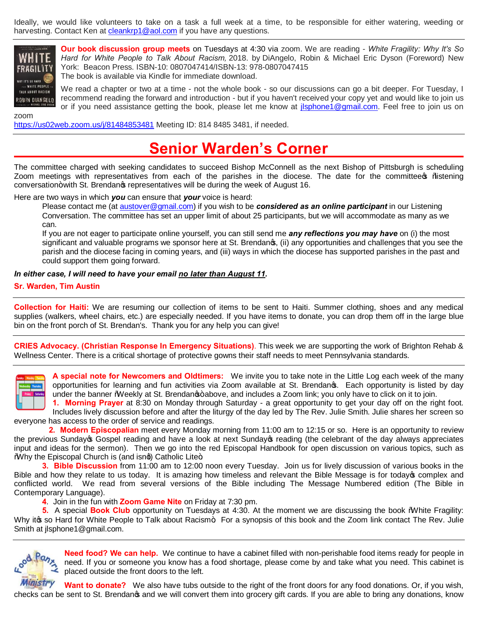Ideally, we would like volunteers to take on a task a full week at a time, to be responsible for either watering, weeding or harvesting. Contact Ken at cleankrp1@aol.com if you have any questions.



zoom

**Our book discussion group meets** on Tuesdays at 4:30 via zoom. We are reading - *White Fragility: Why It's So Hard for White People to Talk About Racism,* 2018. by DiAngelo, Robin & Michael Eric Dyson (Foreword) New York: Beacon Press. ISBN-10: 0807047414/ISBN-13: 978-0807047415 The book is available via Kindle for immediate download.

We read a chapter or two at a time - not the whole book - so our discussions can go a bit deeper. For Tuesday, I recommend reading the forward and introduction - but if you haven't received your copy yet and would like to join us or if you need assistance getting the book, please let me know at jlsphone1@gmail.com. Feel free to join us on

https://us02web.zoom.us/j/81484853481 Meeting ID: 814 8485 3481, if needed.

# **Senior Warden's Corner**

The committee charged w[ith seeking candidat](mailto:cleankrp1@aol.com)es to succeed Bishop McConnell as the next Bishop of Pittsburgh is scheduling Zoom meetings with representatives from each of the parishes in the diocese. The date for the committee of %listening conversation+ with St. Brendangs representatives will be during the week of August 16.

Here are two ways in which *you* can ensure that *your* voice is heard:

Please contact me (at austover@gmail.com) if you wish to be *considered as an online participant* in our Listening Conversation. The committee has set an upper limit of about 25 participants, but we will accommodate as many as we can.

If you are not eager to participate online yourself, you can still send me *any reflections you may have* on (i) the most significant and valuable programs we sponsor here at St. Brendang, (ii) an[y opportunities and cha](mailto:jlsphone1@gmail.com)llenges that you see the parish and the diocese facing in coming years, and (iii) ways in which the diocese has supported parishes in the past and [could support them going forward](https://us02web.zoom.us/j/81484853481).

## *In either case, I will need to have your email no later than August 11.*

## **Sr. Warden, Tim Austin**

**Collection for Haiti:** We are resuming our collection of items to be sent to Haiti. Summer clothing, shoes and any medical supplies (walkers, wheel chairs, etc.) are especially needed. If you have items to donate, you can drop them off in the large blue bin on the front porch of St. Brendan's. Thank you for any help you can give!

**CRIES Advocacy. (Christian [Response In Emerg](mailto:austover@gmail.com)ency Situations)**. This week we are supporting the work of Brighton Rehab & Wellness Center. There is a critical shortage of protective gowns their staff needs to meet Pennsylvania standards.



**A special note for Newcomers and Oldtimers:** We invite you to take note in the Little Log each week of the many opportunities for learning and fun activities via Zoom available at St. Brendan's. Each opportunity is listed by day under the banner Weekly at St. Brendanos+above, and includes a Zoom link; you only have to click on it to join.

**1. Morning Prayer** at 8:30 on Monday through Saturday - a great opportunity to get your day off on the right foot. Includes lively discussion before and after the liturgy of the day led by The Rev. Julie Smith. Julie shares her screen so everyone has access to the order of service and readings.

 **2. Modern Episcopalian** meet every Monday morning from 11:00 am to 12:15 or so. Here is an opportunity to review the previous Sundayos Gospel reading and have a look at next Sundayos reading (the celebrant of the day always appreciates input and ideas for the sermon). Then we go into the red Episcopal Handbook for open discussion on various topics, such as Why the Episcopal Church is (and isnd) Catholic Lite+

**3. Bible Discussion** from 11:00 am to 12:00 noon every Tuesday. Join us for lively discussion of various books in the Bible and how they relate to us today. It is amazing how timeless and relevant the Bible Message is for today® complex and conflicted world. We read from several versions of the Bible including The Message Numbered edition (The Bible in Contemporary Language).

**4**. Join in the fun with **Zoom Game Nite** on Friday at 7:30 pm.

**5.** A special **Book Club** opportunity on Tuesdays at 4:30. At the moment we are discussing the book "White Fragility: Why itos so Hard for White People to Talk about Racism+ For a synopsis of this book and the Zoom link contact The Rev. Julie Smith at jlsphone1@gmail.com.



**Need food? We can help.** We continue to have a cabinet filled with non-perishable food items ready for people in need. If you or someone you know has a food shortage, please come by and take what you need. This cabinet is placed outside the front doors to the left.

**Want to donate?** We also have tubs outside to the right of the front doors for any food donations. Or, if you wish, checks can be sent to St. Brendangs and we will convert them into grocery gift cards. If you are able to bring any donations, know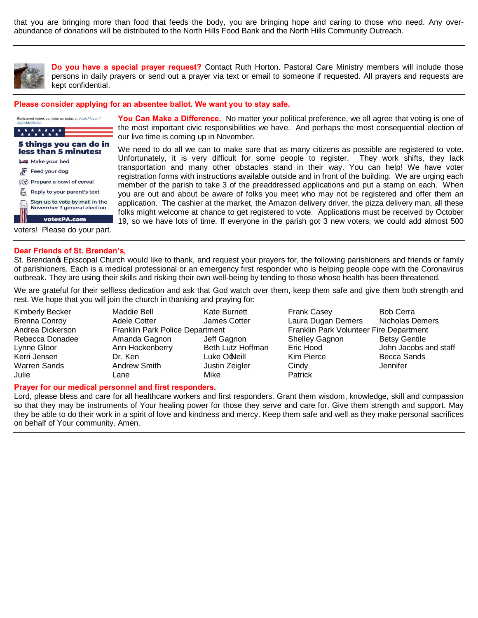that you are bringing more than food that feeds the body, you are bringing hope and caring to those who need. Any overabundance of donations will be distributed to the North Hills Food Bank and the North Hills Community Outreach.



**Do you have a special prayer request?** Contact Ruth Horton. Pastoral Care Ministry members will include those persons in daily prayers or send out a prayer via text or email to someone if requested. All prayers and requests are kept confidential.

#### **Please consider applying for an absentee ballot. We want you to stay safe.**

| Registered voters can sign up today at VotesPA.com/<br>ApplyMailBallot.<br>* * * * *                                                                                                                                                                                      | Y٥<br>the<br>ou                                           |
|---------------------------------------------------------------------------------------------------------------------------------------------------------------------------------------------------------------------------------------------------------------------------|-----------------------------------------------------------|
| 5 things you can do in<br>less than 5 minutes:<br>Make your bed<br>Feed your dog<br>Prepare a bowl of cereal<br>$Q(\cdot)$<br>Reply to your parent's text<br>Sign up to vote by mail in the<br>November 3 general election<br>votesPA.com<br>voters! Please do your part. | W،<br>Un<br>tra<br>rec<br>me<br>νοι<br>apı<br>foll<br>19, |
|                                                                                                                                                                                                                                                                           |                                                           |

## **u Can Make a Difference.** No matter your political preference, we all agree that voting is one of most important civic responsibilities we have. And perhaps the most consequential election of live time is coming up in November.

e need to do all we can to make sure that as many citizens as possible are registered to vote. fortunately, it is very difficult for some people to register. They work shifts, they lack nsportation and many other obstacles stand in their way. You can help! We have voter jistration forms with instructions available outside and in front of the building. We are urging each member of the parish to take 3 of the preaddressed applications and put a stamp on each. When u are out and about be aware of folks you meet who may not be registered and offer them an plication. The cashier at the market, the Amazon delivery driver, the pizza delivery man, all these ks might welcome at chance to get registered to vote. Applications must be received by October so we have lots of time. If everyone in the parish got 3 new voters, we could add almost 500

## **Dear Friends of St. Brendan's,**

St. Brendanos Episcopal Church would like to thank, and request your prayers for, the following parishioners and friends or family of parishioners. Each is a medical professional or an emergency first responder who is helping people cope with the Coronavirus outbreak. They are using their skills and risking their own well-being by tending to those whose health has been threatened.

We are grateful for their selfless dedication and ask that God watch over them, keep them safe and give them both strength and rest. We hope that you will join the church in thanking and praying for:

Julie Lane Mike Patrick

Kimberly Becker **Maddie Bell** Kate Burnett Frank Casey **Bob Cerra** Brenna Conroy Adele Cotter James Cotter Laura Dugan Demers Nicholas Demers Andrea Dickerson Franklin Park Police Department Franklin Park Volunteer Fire Department Rebecca Donadee Amanda Gagnon Jeff Gagnon Shelley Gagnon Betsy Gentile Lynne Gloor Ann Hockenberry Beth Lutz Hoffman Eric Hood John Jacobs and staff Kerri Jensen **Dr. Ken Luke Ooteill Kim Pierce** Becca Sands Warren Sands **Andrew Smith** Justin Zeigler Cindy **Communist Communist Communist Communist** 

### **Prayer for our medical personnel and first responders.**

Lord, please bless and care for all healthcare workers and first responders. Grant them wisdom, knowledge, skill and compassion so that they may be instruments of Your healing power for those they serve and care for. Give them strength and support. May they be able to do their work in a spirit of love and kindness and mercy. Keep them safe and well as they make personal sacrifices on behalf of Your community. Amen.